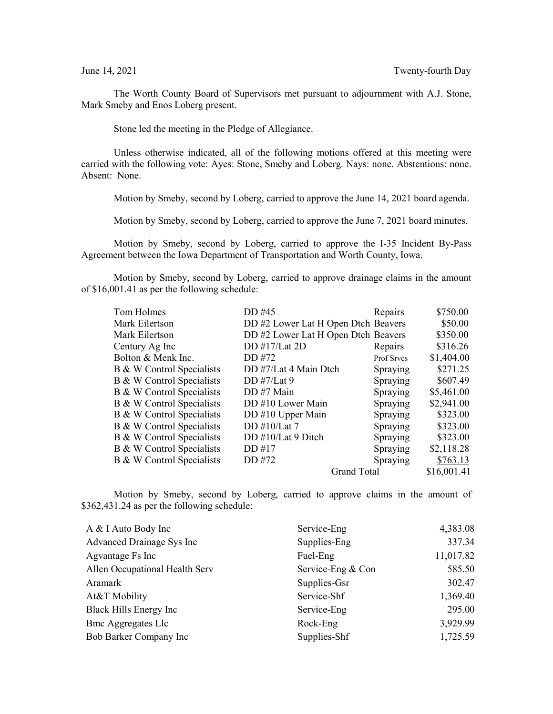The Worth County Board of Supervisors met pursuant to adjournment with A.J. Stone, Mark Smeby and Enos Loberg present.

Stone led the meeting in the Pledge of Allegiance.

Unless otherwise indicated, all of the following motions offered at this meeting were carried with the following vote: Ayes: Stone, Smeby and Loberg. Nays: none. Abstentions: none. Absent: None.

Motion by Smeby, second by Loberg, carried to approve the June 14, 2021 board agenda.

Motion by Smeby, second by Loberg, carried to approve the June 7, 2021 board minutes.

Motion by Smeby, second by Loberg, carried to approve the I-35 Incident By-Pass Agreement between the Iowa Department of Transportation and Worth County, Iowa.

Motion by Smeby, second by Loberg, carried to approve drainage claims in the amount of \$16,001.41 as per the following schedule:

| DD #45                | Repairs    | \$750.00                                                                                         |
|-----------------------|------------|--------------------------------------------------------------------------------------------------|
|                       |            | \$50.00                                                                                          |
|                       |            | \$350.00                                                                                         |
| DD #17/Lat 2D         | Repairs    | \$316.26                                                                                         |
| DD #72                | Prof Srvcs | \$1,404.00                                                                                       |
| DD #7/Lat 4 Main Dtch | Spraying   | \$271.25                                                                                         |
| DD #7/Lat 9           | Spraying   | \$607.49                                                                                         |
| DD #7 Main            | Spraying   | \$5,461.00                                                                                       |
| DD #10 Lower Main     | Spraying   | \$2,941.00                                                                                       |
| DD #10 Upper Main     | Spraying   | \$323.00                                                                                         |
| DD $\#10/Lat$ 7       | Spraying   | \$323.00                                                                                         |
| DD #10/Lat 9 Ditch    | Spraying   | \$323.00                                                                                         |
| DD #17                | Spraying   | \$2,118.28                                                                                       |
| DD #72                | Spraying   | \$763.13                                                                                         |
|                       |            | \$16,001.41                                                                                      |
|                       |            | DD #2 Lower Lat H Open Dtch Beavers<br>DD #2 Lower Lat H Open Dtch Beavers<br><b>Grand Total</b> |

Motion by Smeby, second by Loberg, carried to approve claims in the amount of \$362,431.24 as per the following schedule:

| 337.34<br>Supplies-Eng      |
|-----------------------------|
| 11,017.82<br>Fuel-Eng       |
| Service-Eng & Con<br>585.50 |
| 302.47<br>Supplies-Gsr      |
| 1,369.40<br>Service-Shf     |
| 295.00<br>Service-Eng       |
| 3,929.99<br>Rock-Eng        |
| 1,725.59<br>Supplies-Shf    |
|                             |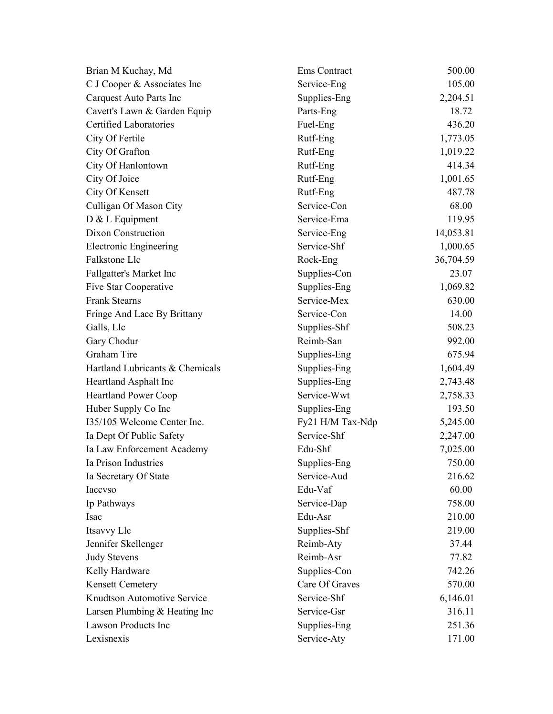| Brian M Kuchay, Md              | Ems Contract     | 500.00    |
|---------------------------------|------------------|-----------|
| C J Cooper & Associates Inc     | Service-Eng      | 105.00    |
| Carquest Auto Parts Inc         | Supplies-Eng     | 2,204.51  |
| Cavett's Lawn & Garden Equip    | Parts-Eng        | 18.72     |
| Certified Laboratories          | Fuel-Eng         | 436.20    |
| City Of Fertile                 | Rutf-Eng         | 1,773.05  |
| City Of Grafton                 | Rutf-Eng         | 1,019.22  |
| City Of Hanlontown              | Rutf-Eng         | 414.34    |
| City Of Joice                   | Rutf-Eng         | 1,001.65  |
| City Of Kensett                 | Rutf-Eng         | 487.78    |
| Culligan Of Mason City          | Service-Con      | 68.00     |
| D & L Equipment                 | Service-Ema      | 119.95    |
| Dixon Construction              | Service-Eng      | 14,053.81 |
| <b>Electronic Engineering</b>   | Service-Shf      | 1,000.65  |
| Falkstone Llc                   | Rock-Eng         | 36,704.59 |
| Fallgatter's Market Inc         | Supplies-Con     | 23.07     |
| Five Star Cooperative           | Supplies-Eng     | 1,069.82  |
| <b>Frank Stearns</b>            | Service-Mex      | 630.00    |
| Fringe And Lace By Brittany     | Service-Con      | 14.00     |
| Galls, Llc                      | Supplies-Shf     | 508.23    |
| Gary Chodur                     | Reimb-San        | 992.00    |
| Graham Tire                     | Supplies-Eng     | 675.94    |
| Hartland Lubricants & Chemicals | Supplies-Eng     | 1,604.49  |
| Heartland Asphalt Inc           | Supplies-Eng     | 2,743.48  |
| <b>Heartland Power Coop</b>     | Service-Wwt      | 2,758.33  |
| Huber Supply Co Inc             | Supplies-Eng     | 193.50    |
| I35/105 Welcome Center Inc.     | Fy21 H/M Tax-Ndp | 5,245.00  |
| Ia Dept Of Public Safety        | Service-Shf      | 2,247.00  |
| Ia Law Enforcement Academy      | Edu-Shf          | 7,025.00  |
| Ia Prison Industries            | Supplies-Eng     | 750.00    |
| Ia Secretary Of State           | Service-Aud      | 216.62    |
| Iaccvso                         | Edu-Vaf          | 60.00     |
| Ip Pathways                     | Service-Dap      | 758.00    |
| Isac                            | Edu-Asr          | 210.00    |
| Itsavvy Llc                     | Supplies-Shf     | 219.00    |
| Jennifer Skellenger             | Reimb-Aty        | 37.44     |
| <b>Judy Stevens</b>             | Reimb-Asr        | 77.82     |
| Kelly Hardware                  | Supplies-Con     | 742.26    |
| <b>Kensett Cemetery</b>         | Care Of Graves   | 570.00    |
| Knudtson Automotive Service     | Service-Shf      | 6,146.01  |
| Larsen Plumbing & Heating Inc   | Service-Gsr      | 316.11    |
| Lawson Products Inc             | Supplies-Eng     | 251.36    |
| Lexisnexis                      | Service-Aty      | 171.00    |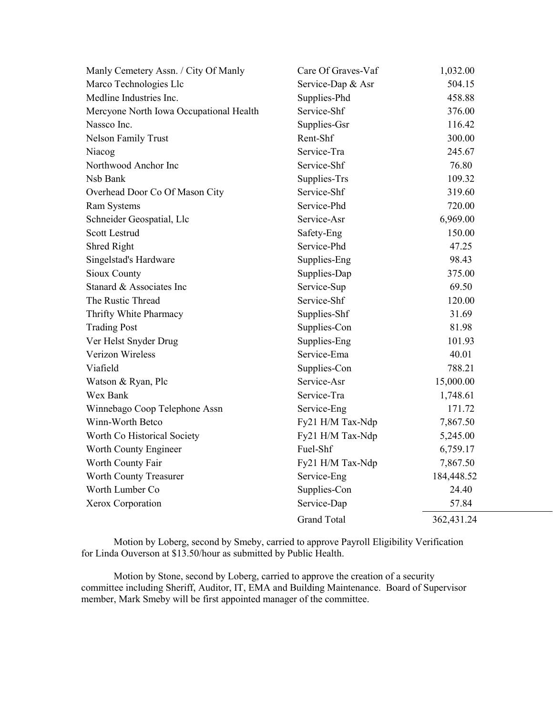| Manly Cemetery Assn. / City Of Manly    | Care Of Graves-Vaf | 1,032.00   |
|-----------------------------------------|--------------------|------------|
| Marco Technologies Llc                  | Service-Dap & Asr  | 504.15     |
| Medline Industries Inc.                 | Supplies-Phd       | 458.88     |
| Mercyone North Iowa Occupational Health | Service-Shf        | 376.00     |
| Nassco Inc.                             | Supplies-Gsr       | 116.42     |
| <b>Nelson Family Trust</b>              | Rent-Shf           | 300.00     |
| Niacog                                  | Service-Tra        | 245.67     |
| Northwood Anchor Inc                    | Service-Shf        | 76.80      |
| Nsb Bank                                | Supplies-Trs       | 109.32     |
| Overhead Door Co Of Mason City          | Service-Shf        | 319.60     |
| Ram Systems                             | Service-Phd        | 720.00     |
| Schneider Geospatial, Llc               | Service-Asr        | 6,969.00   |
| <b>Scott Lestrud</b>                    | Safety-Eng         | 150.00     |
| <b>Shred Right</b>                      | Service-Phd        | 47.25      |
| Singelstad's Hardware                   | Supplies-Eng       | 98.43      |
| <b>Sioux County</b>                     | Supplies-Dap       | 375.00     |
| Stanard & Associates Inc                | Service-Sup        | 69.50      |
| The Rustic Thread                       | Service-Shf        | 120.00     |
| Thrifty White Pharmacy                  | Supplies-Shf       | 31.69      |
| <b>Trading Post</b>                     | Supplies-Con       | 81.98      |
| Ver Helst Snyder Drug                   | Supplies-Eng       | 101.93     |
| <b>Verizon Wireless</b>                 | Service-Ema        | 40.01      |
| Viafield                                | Supplies-Con       | 788.21     |
| Watson & Ryan, Plc                      | Service-Asr        | 15,000.00  |
| Wex Bank                                | Service-Tra        | 1,748.61   |
| Winnebago Coop Telephone Assn           | Service-Eng        | 171.72     |
| Winn-Worth Betco                        | Fy21 H/M Tax-Ndp   | 7,867.50   |
| Worth Co Historical Society             | Fy21 H/M Tax-Ndp   | 5,245.00   |
| Worth County Engineer                   | Fuel-Shf           | 6,759.17   |
| Worth County Fair                       | Fy21 H/M Tax-Ndp   | 7,867.50   |
| Worth County Treasurer                  | Service-Eng        | 184,448.52 |
| Worth Lumber Co                         | Supplies-Con       | 24.40      |
| Xerox Corporation                       | Service-Dap        | 57.84      |
|                                         | <b>Grand Total</b> | 362,431.24 |

Motion by Loberg, second by Smeby, carried to approve Payroll Eligibility Verification for Linda Ouverson at \$13.50/hour as submitted by Public Health.

Motion by Stone, second by Loberg, carried to approve the creation of a security committee including Sheriff, Auditor, IT, EMA and Building Maintenance. Board of Supervisor member, Mark Smeby will be first appointed manager of the committee.